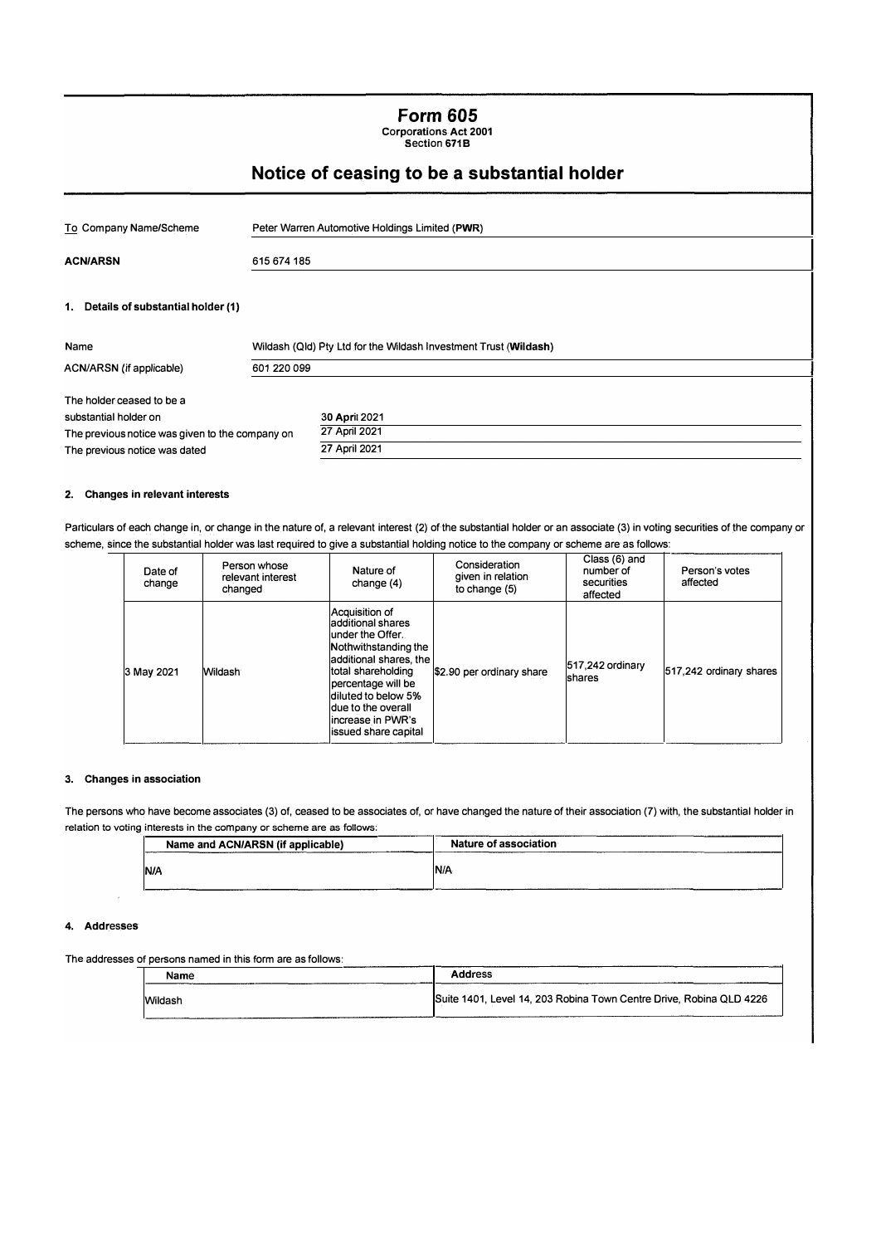**Form 605**  Corporations Act 2001 Section 671 B

# **Notice of ceasing to be a substantial holder**

| To Company Name/Scheme                             | Peter Warren Automotive Holdings Limited (PWR)                   |
|----------------------------------------------------|------------------------------------------------------------------|
| <b>ACN/ARSN</b>                                    | 615 674 185                                                      |
| 1. Details of substantial holder (1)               |                                                                  |
| Name                                               | Wildash (Qld) Pty Ltd for the Wildash Investment Trust (Wildash) |
| ACN/ARSN (if applicable)                           | 601 220 099                                                      |
| The holder ceased to be a<br>substantial holder on | 30 April 2021                                                    |

#### **2. Changes in relevant interests**

The previous notice was dated

The previous notice was given to the company on

Particulars of each change in, or change in the nature of, a relevant interest (2) of the substantial holder or an associate (3) in voting securities of the company or scheme, since the substantial holder was last required to give a substantial holding notice to the company or scheme are as follows:

27 April 2021 27 April 2021

| Date of<br>change | Person whose<br>relevant interest<br>changed | Nature of<br>change (4)                                                                                                                                                                                                                            | Consideration<br>given in relation<br>to change (5) | Class (6) and<br>number of<br>securities<br>affected | Person's votes<br>affected |
|-------------------|----------------------------------------------|----------------------------------------------------------------------------------------------------------------------------------------------------------------------------------------------------------------------------------------------------|-----------------------------------------------------|------------------------------------------------------|----------------------------|
| 3 May 2021        | Wildash                                      | Acquisition of<br>ladditional shares<br>lunder the Offer.<br>Nothwithstanding the<br>additional shares, the<br>total shareholding<br>percentage will be<br>diluted to below 5%<br>due to the overall<br>lincrease in PWR's<br>issued share capital | \$2.90 per ordinary share                           | 517,242 ordinary<br><b>Ishares</b>                   | 517,242 ordinary shares    |

#### **3. Changes in association**

The persons who have become associates (3) of, ceased to be associates of, or have changed the nature of their association (7) with, the substantial holder in relation to voting interests in the company or scheme are as follows:

| Name and ACN/ARSN (if applicable)<br>----------- | Nature of association |  |  |
|--------------------------------------------------|-----------------------|--|--|
| N/A                                              | N/A                   |  |  |

## 4. Addresses

### The addresses of persons named in this form are as follows:

| Name    | <b>Address</b>                                                      |
|---------|---------------------------------------------------------------------|
| Wildash | Suite 1401, Level 14, 203 Robina Town Centre Drive, Robina QLD 4226 |